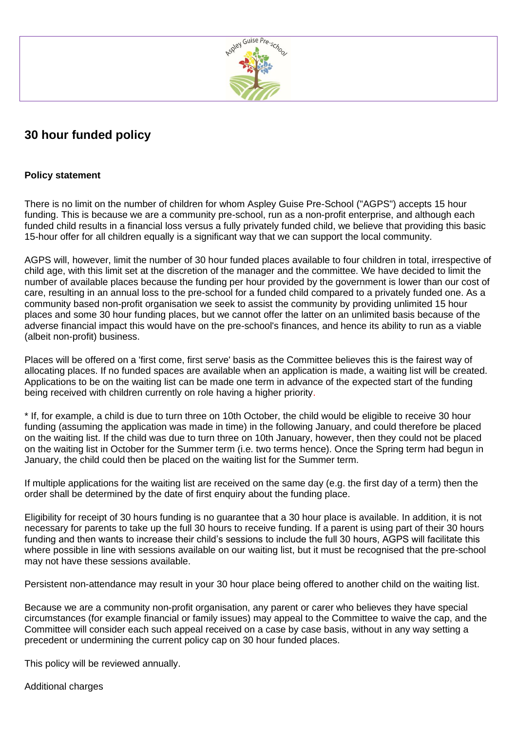

## **30 hour funded policy**

## **Policy statement**

There is no limit on the number of children for whom Aspley Guise Pre-School ("AGPS") accepts 15 hour funding. This is because we are a community pre-school, run as a non-profit enterprise, and although each funded child results in a financial loss versus a fully privately funded child, we believe that providing this basic 15-hour offer for all children equally is a significant way that we can support the local community.

AGPS will, however, limit the number of 30 hour funded places available to four children in total, irrespective of child age, with this limit set at the discretion of the manager and the committee. We have decided to limit the number of available places because the funding per hour provided by the government is lower than our cost of care, resulting in an annual loss to the pre-school for a funded child compared to a privately funded one. As a community based non-profit organisation we seek to assist the community by providing unlimited 15 hour places and some 30 hour funding places, but we cannot offer the latter on an unlimited basis because of the adverse financial impact this would have on the pre-school's finances, and hence its ability to run as a viable (albeit non-profit) business.

Places will be offered on a 'first come, first serve' basis as the Committee believes this is the fairest way of allocating places. If no funded spaces are available when an application is made, a waiting list will be created. Applications to be on the waiting list can be made one term in advance of the expected start of the funding being received with children currently on role having a higher priority.

\* If, for example, a child is due to turn three on 10th October, the child would be eligible to receive 30 hour funding (assuming the application was made in time) in the following January, and could therefore be placed on the waiting list. If the child was due to turn three on 10th January, however, then they could not be placed on the waiting list in October for the Summer term (i.e. two terms hence). Once the Spring term had begun in January, the child could then be placed on the waiting list for the Summer term.

If multiple applications for the waiting list are received on the same day (e.g. the first day of a term) then the order shall be determined by the date of first enquiry about the funding place.

Eligibility for receipt of 30 hours funding is no guarantee that a 30 hour place is available. In addition, it is not necessary for parents to take up the full 30 hours to receive funding. If a parent is using part of their 30 hours funding and then wants to increase their child's sessions to include the full 30 hours, AGPS will facilitate this where possible in line with sessions available on our waiting list, but it must be recognised that the pre-school may not have these sessions available.

Persistent non-attendance may result in your 30 hour place being offered to another child on the waiting list.

Because we are a community non-profit organisation, any parent or carer who believes they have special circumstances (for example financial or family issues) may appeal to the Committee to waive the cap, and the Committee will consider each such appeal received on a case by case basis, without in any way setting a precedent or undermining the current policy cap on 30 hour funded places.

This policy will be reviewed annually.

Additional charges